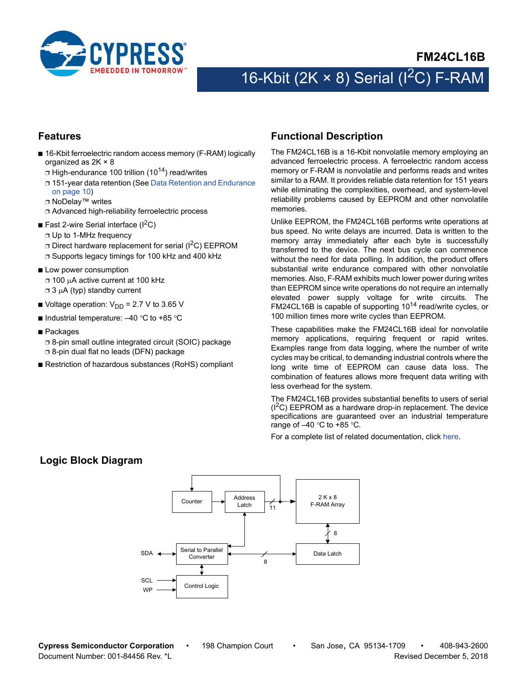

### **Features**

- 16-Kbit ferroelectric random access memory (F-RAM) logically organized as 2K × 8
	- $\Box$  High-endurance 100 trillion (10<sup>14</sup>) read/writes
	- ❐ 151-year data retention (See [Data Retention and Endurance](#page-9-0) [on page 10](#page-9-0))
	- ❐ NoDelay™ writes
	- ❐ Advanced high-reliability ferroelectric process
- **E** Fast 2-wire Serial interface  $(I^2C)$ 
	- ❐ Up to 1-MHz frequency
	- $\Box$  Direct hardware replacement for serial ( $\rm{I}^2C$ ) EEPROM
	- ❐ Supports legacy timings for 100 kHz and 400 kHz
- Low power consumption ❐ 100 A active current at 100 kHz  $\Box$  3  $\mu$ A (typ) standby current
- Voltage operation:  $V_{DD}$  = 2.7 V to 3.65 V
- Industrial temperature:  $-40$  °C to +85 °C
- Packages
	- ❐ 8-pin small outline integrated circuit (SOIC) package ❐ 8-pin dual flat no leads (DFN) package
- Restriction of hazardous substances (RoHS) compliant

# <span id="page-0-0"></span>**Functional Description**

The FM24CL16B is a 16-Kbit nonvolatile memory employing an advanced ferroelectric process. A ferroelectric random access memory or F-RAM is nonvolatile and performs reads and writes similar to a RAM. It provides reliable data retention for 151 years while eliminating the complexities, overhead, and system-level reliability problems caused by EEPROM and other nonvolatile memories.

Unlike EEPROM, the FM24CL16B performs write operations at bus speed. No write delays are incurred. Data is written to the memory array immediately after each byte is successfully transferred to the device. The next bus cycle can commence without the need for data polling. In addition, the product offers substantial write endurance compared with other nonvolatile memories. Also, F-RAM exhibits much lower power during writes than EEPROM since write operations do not require an internally elevated power supply voltage for write circuits. The FM24CL16B is capable of supporting  $10^{14}$  read/write cycles, or 100 million times more write cycles than EEPROM.

These capabilities make the FM24CL16B ideal for nonvolatile memory applications, requiring frequent or rapid writes. Examples range from data logging, where the number of write cycles may be critical, to demanding industrial controls where the long write time of EEPROM can cause data loss. The combination of features allows more frequent data writing with less overhead for the system.

The FM24CL16B provides substantial benefits to users of serial  $(1^2C)$  EEPROM as a hardware drop-in replacement. The device specifications are guaranteed over an industrial temperature range of  $-40$  °C to +85 °C.

For a complete list of related documentation, click [here](http://www.cypress.com/?rID=73483).

# **Logic Block Diagram**



**Cypress Semiconductor Corporation** • 198 Champion Court • San Jose, CA 95134-1709 • 408-943-2600 Document Number: 001-84456 Rev. \*L Revised December 5, 2018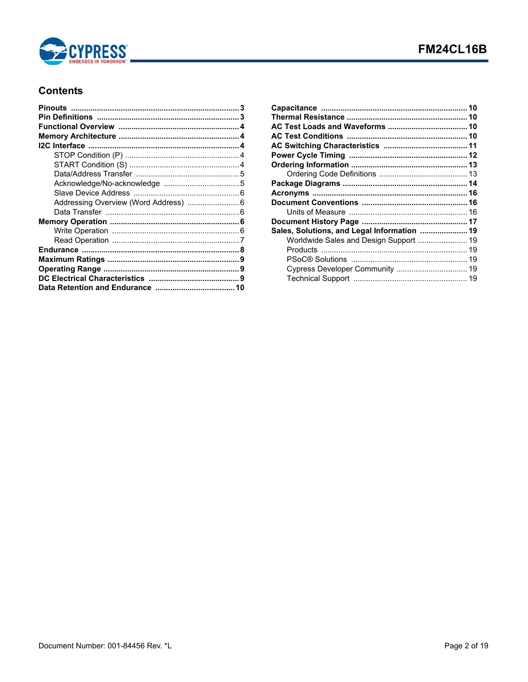

# **Contents**

| Sales, Solutions, and Legal Information  19 |  |
|---------------------------------------------|--|
|                                             |  |
|                                             |  |
|                                             |  |
|                                             |  |
|                                             |  |
|                                             |  |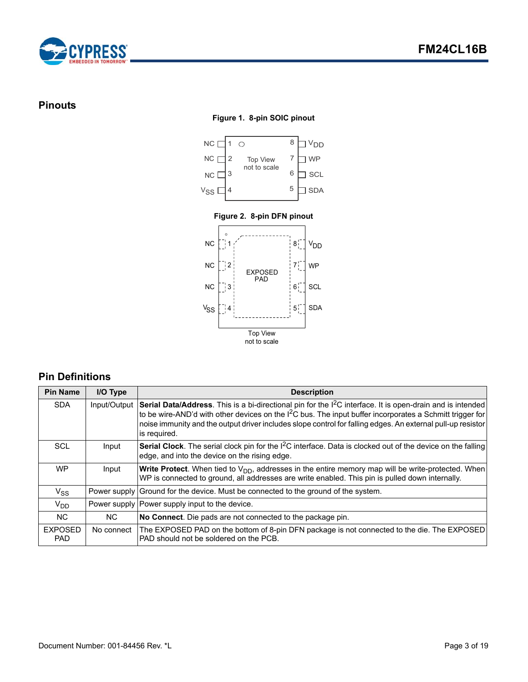



# <span id="page-2-2"></span><span id="page-2-0"></span>**Pinouts**

#### **Figure 1. 8-pin SOIC pinout**



# <span id="page-2-1"></span>**Pin Definitions**

| <b>Pin Name</b>              | I/O Type     | <b>Description</b>                                                                                                                                                                                                                                                                                                                                                 |
|------------------------------|--------------|--------------------------------------------------------------------------------------------------------------------------------------------------------------------------------------------------------------------------------------------------------------------------------------------------------------------------------------------------------------------|
| <b>SDA</b>                   | Input/Output | Serial Data/Address. This is a bi-directional pin for the I <sup>2</sup> C interface. It is open-drain and is intended<br>to be wire-AND'd with other devices on the $l2C$ bus. The input buffer incorporates a Schmitt trigger for<br>noise immunity and the output driver includes slope control for falling edges. An external pull-up resistor<br>is required. |
| SCL                          | Input        | <b>Serial Clock</b> . The serial clock pin for the $I^2C$ interface. Data is clocked out of the device on the falling<br>edge, and into the device on the rising edge.                                                                                                                                                                                             |
| <b>WP</b>                    | Input        | <b>Write Protect.</b> When tied to $V_{DD}$ , addresses in the entire memory map will be write-protected. When<br>WP is connected to ground, all addresses are write enabled. This pin is pulled down internally.                                                                                                                                                  |
| $V_{SS}$                     |              | Power supply Ground for the device. Must be connected to the ground of the system.                                                                                                                                                                                                                                                                                 |
| V <sub>DD</sub>              |              | Power supply   Power supply input to the device.                                                                                                                                                                                                                                                                                                                   |
| NC.                          | NC.          | No Connect. Die pads are not connected to the package pin.                                                                                                                                                                                                                                                                                                         |
| <b>EXPOSED</b><br><b>PAD</b> | No connect   | The EXPOSED PAD on the bottom of 8-pin DFN package is not connected to the die. The EXPOSED<br>PAD should not be soldered on the PCB.                                                                                                                                                                                                                              |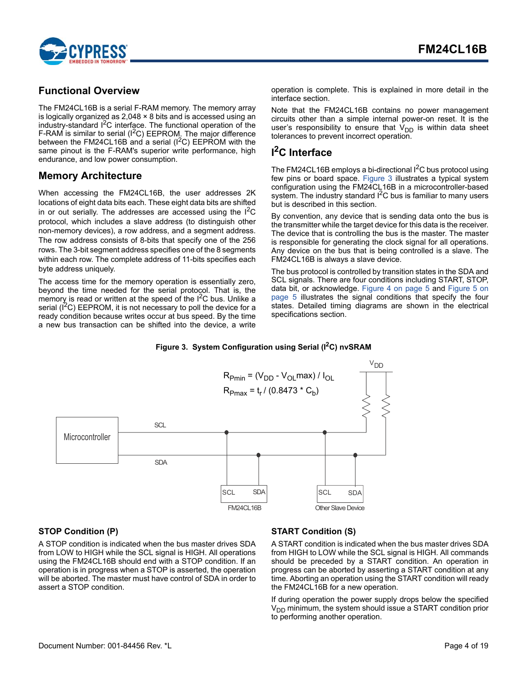

## <span id="page-3-0"></span>**Functional Overview**

The FM24CL16B is a serial F-RAM memory. The memory array is logically organized as 2,048 × 8 bits and is accessed using an industry-standard I<sup>2</sup>C interface. The functional operation of the F-RAM is similar to serial  $(I^2C)$  EEPROM. The major difference between the FM24CL16B and a serial  $(I<sup>2</sup>C)$  EEPROM with the same pinout is the F-RAM's superior write performance, high endurance, and low power consumption.

## <span id="page-3-1"></span>**Memory Architecture**

When accessing the FM24CL16B, the user addresses 2K locations of eight data bits each. These eight data bits are shifted in or out serially. The addresses are accessed using the  $1^2C$ protocol, which includes a slave address (to distinguish other non-memory devices), a row address, and a segment address. The row address consists of 8-bits that specify one of the 256 rows. The 3-bit segment address specifies one of the 8 segments within each row. The complete address of 11-bits specifies each byte address uniquely.

The access time for the memory operation is essentially zero, beyond the time needed for the serial protocol. That is, the memory is read or written at the speed of the  $I^2C$  bus. Unlike a serial  $(I^2C)$  EEPROM, it is not necessary to poll the device for a ready condition because writes occur at bus speed. By the time a new bus transaction can be shifted into the device, a write operation is complete. This is explained in more detail in the interface section.

Note that the FM24CL16B contains no power management circuits other than a simple internal power-on reset. It is the user's responsibility to ensure that  $V_{DD}$  is within data sheet tolerances to prevent incorrect operation.

# <span id="page-3-2"></span>**I 2C Interface**

The FM24CL16B employs a bi-directional  $1<sup>2</sup>C$  bus protocol using few pins or board space. [Figure 3](#page-3-5) illustrates a typical system configuration using the FM24CL16B in a microcontroller-based system. The industry standard  $I<sup>2</sup>C$  bus is familiar to many users but is described in this section.

By convention, any device that is sending data onto the bus is the transmitter while the target device for this data is the receiver. The device that is controlling the bus is the master. The master is responsible for generating the clock signal for all operations. Any device on the bus that is being controlled is a slave. The FM24CL16B is always a slave device.

The bus protocol is controlled by transition states in the SDA and SCL signals. There are four conditions including START, STOP, data bit, or acknowledge. [Figure 4 on page 5](#page-4-2) and [Figure 5 on](#page-4-3) [page 5](#page-4-3) illustrates the signal conditions that specify the four states. Detailed timing diagrams are shown in the electrical specifications section.

#### Figure 3. System Configuration using Serial (I<sup>2</sup>C) nvSRAM

<span id="page-3-5"></span>

#### <span id="page-3-3"></span>**STOP Condition (P)**

A STOP condition is indicated when the bus master drives SDA from LOW to HIGH while the SCL signal is HIGH. All operations using the FM24CL16B should end with a STOP condition. If an operation is in progress when a STOP is asserted, the operation will be aborted. The master must have control of SDA in order to assert a STOP condition.

#### <span id="page-3-4"></span>**START Condition (S)**

A START condition is indicated when the bus master drives SDA from HIGH to LOW while the SCL signal is HIGH. All commands should be preceded by a START condition. An operation in progress can be aborted by asserting a START condition at any time. Aborting an operation using the START condition will ready the FM24CL16B for a new operation.

If during operation the power supply drops below the specified  $V<sub>DD</sub>$  minimum, the system should issue a START condition prior to performing another operation.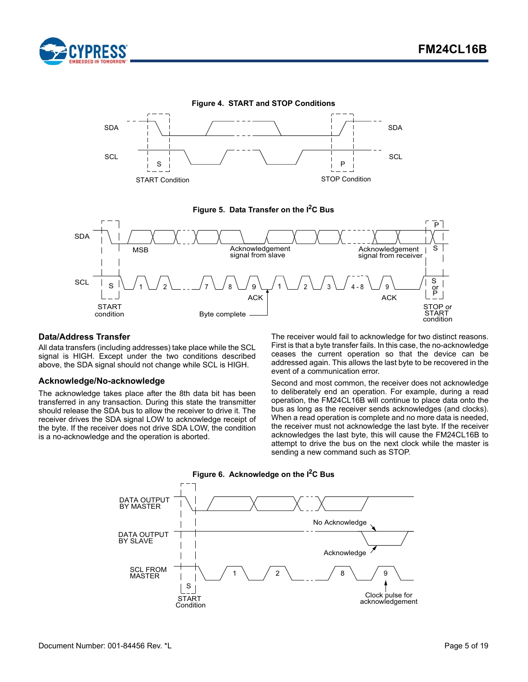

<span id="page-4-2"></span>



<span id="page-4-3"></span>

#### <span id="page-4-0"></span>**Data/Address Transfer**

All data transfers (including addresses) take place while the SCL signal is HIGH. Except under the two conditions described above, the SDA signal should not change while SCL is HIGH.

#### <span id="page-4-1"></span>**Acknowledge/No-acknowledge**

The acknowledge takes place after the 8th data bit has been transferred in any transaction. During this state the transmitter should release the SDA bus to allow the receiver to drive it. The receiver drives the SDA signal LOW to acknowledge receipt of the byte. If the receiver does not drive SDA LOW, the condition is a no-acknowledge and the operation is aborted.

The receiver would fail to acknowledge for two distinct reasons. First is that a byte transfer fails. In this case, the no-acknowledge ceases the current operation so that the device can be addressed again. This allows the last byte to be recovered in the event of a communication error.

Second and most common, the receiver does not acknowledge to deliberately end an operation. For example, during a read operation, the FM24CL16B will continue to place data onto the bus as long as the receiver sends acknowledges (and clocks). When a read operation is complete and no more data is needed, the receiver must not acknowledge the last byte. If the receiver acknowledges the last byte, this will cause the FM24CL16B to attempt to drive the bus on the next clock while the master is sending a new command such as STOP.



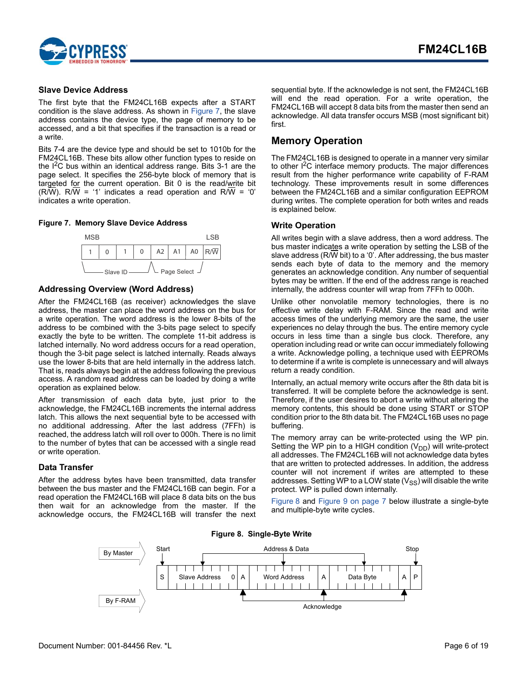

#### <span id="page-5-0"></span>**Slave Device Address**

The first byte that the FM24CL16B expects after a START condition is the slave address. As shown in [Figure 7](#page-5-6), the slave address contains the device type, the page of memory to be accessed, and a bit that specifies if the transaction is a read or a write.

Bits 7-4 are the device type and should be set to 1010b for the FM24CL16B. These bits allow other function types to reside on the  $I<sup>2</sup>C$  bus within an identical address range. Bits 3-1 are the page select. It specifies the 256-byte block of memory that is targeted for the current operation. Bit 0 is the read/write bit (R/W). R/W = '1' indicates a read operation and R/W = '0' indicates a write operation.

#### <span id="page-5-6"></span>**Figure 7. Memory Slave Device Address**



#### <span id="page-5-1"></span>**Addressing Overview (Word Address)**

After the FM24CL16B (as receiver) acknowledges the slave address, the master can place the word address on the bus for a write operation. The word address is the lower 8-bits of the address to be combined with the 3-bits page select to specify exactly the byte to be written. The complete 11-bit address is latched internally. No word address occurs for a read operation, though the 3-bit page select is latched internally. Reads always use the lower 8-bits that are held internally in the address latch. That is, reads always begin at the address following the previous access. A random read address can be loaded by doing a write operation as explained below.

After transmission of each data byte, just prior to the acknowledge, the FM24CL16B increments the internal address latch. This allows the next sequential byte to be accessed with no additional addressing. After the last address (7FFh) is reached, the address latch will roll over to 000h. There is no limit to the number of bytes that can be accessed with a single read or write operation.

#### <span id="page-5-2"></span>**Data Transfer**

<span id="page-5-5"></span>After the address bytes have been transmitted, data transfer between the bus master and the FM24CL16B can begin. For a read operation the FM24CL16B will place 8 data bits on the bus then wait for an acknowledge from the master. If the acknowledge occurs, the FM24CL16B will transfer the next sequential byte. If the acknowledge is not sent, the FM24CL16B will end the read operation. For a write operation, the FM24CL16B will accept 8 data bits from the master then send an acknowledge. All data transfer occurs MSB (most significant bit) first.

#### <span id="page-5-3"></span>**Memory Operation**

The FM24CL16B is designed to operate in a manner very similar to other  $I<sup>2</sup>C$  interface memory products. The major differences result from the higher performance write capability of F-RAM technology. These improvements result in some differences between the FM24CL16B and a similar configuration EEPROM during writes. The complete operation for both writes and reads is explained below.

#### <span id="page-5-4"></span>**Write Operation**

All writes begin with a slave address, then a word address. The bus master indicates a write operation by setting the LSB of the slave address (R/W bit) to a '0'. After addressing, the bus master sends each byte of data to the memory and the memory generates an acknowledge condition. Any number of sequential bytes may be written. If the end of the address range is reached internally, the address counter will wrap from 7FFh to 000h.

Unlike other nonvolatile memory technologies, there is no effective write delay with F-RAM. Since the read and write access times of the underlying memory are the same, the user experiences no delay through the bus. The entire memory cycle occurs in less time than a single bus clock. Therefore, any operation including read or write can occur immediately following a write. Acknowledge polling, a technique used with EEPROMs to determine if a write is complete is unnecessary and will always return a ready condition.

Internally, an actual memory write occurs after the 8th data bit is transferred. It will be complete before the acknowledge is sent. Therefore, if the user desires to abort a write without altering the memory contents, this should be done using START or STOP condition prior to the 8th data bit. The FM24CL16B uses no page buffering.

The memory array can be write-protected using the WP pin. Setting the WP pin to a HIGH condition  $(V_{DD})$  will write-protect all addresses. The FM24CL16B will not acknowledge data bytes that are written to protected addresses. In addition, the address counter will not increment if writes are attempted to these addresses. Setting WP to a LOW state  $(V_{SS})$  will disable the write protect. WP is pulled down internally.

[Figure 8](#page-5-5) and [Figure 9 on page 7](#page-6-1) below illustrate a single-byte and multiple-byte write cycles.



#### **Figure 8. Single-Byte Write**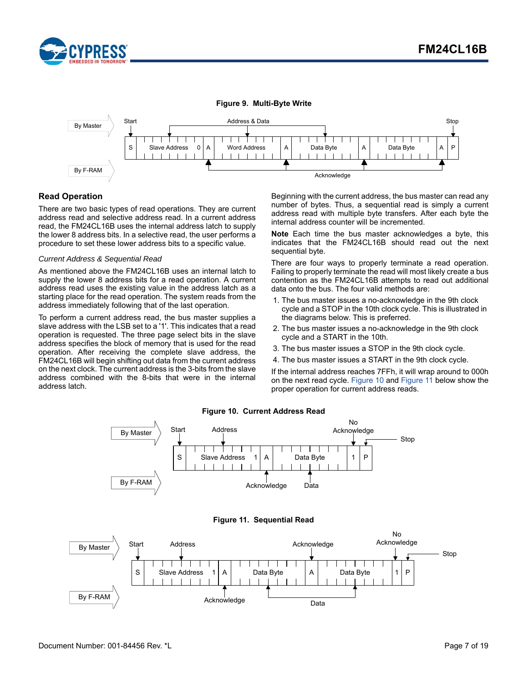

<span id="page-6-1"></span>

#### <span id="page-6-0"></span>**Read Operation**

There are two basic types of read operations. They are current address read and selective address read. In a current address read, the FM24CL16B uses the internal address latch to supply the lower 8 address bits. In a selective read, the user performs a procedure to set these lower address bits to a specific value.

#### *Current Address & Sequential Read*

As mentioned above the FM24CL16B uses an internal latch to supply the lower 8 address bits for a read operation. A current address read uses the existing value in the address latch as a starting place for the read operation. The system reads from the address immediately following that of the last operation.

To perform a current address read, the bus master supplies a slave address with the LSB set to a '1'. This indicates that a read operation is requested. The three page select bits in the slave address specifies the block of memory that is used for the read operation. After receiving the complete slave address, the FM24CL16B will begin shifting out data from the current address on the next clock. The current address is the 3-bits from the slave address combined with the 8-bits that were in the internal address latch.

Beginning with the current address, the bus master can read any number of bytes. Thus, a sequential read is simply a current address read with multiple byte transfers. After each byte the internal address counter will be incremented.

**Note** Each time the bus master acknowledges a byte, this indicates that the FM24CL16B should read out the next sequential byte.

There are four ways to properly terminate a read operation. Failing to properly terminate the read will most likely create a bus contention as the FM24CL16B attempts to read out additional data onto the bus. The four valid methods are:

- 1. The bus master issues a no-acknowledge in the 9th clock cycle and a STOP in the 10th clock cycle. This is illustrated in the diagrams below. This is preferred.
- 2. The bus master issues a no-acknowledge in the 9th clock cycle and a START in the 10th.
- 3. The bus master issues a STOP in the 9th clock cycle.
- 4. The bus master issues a START in the 9th clock cycle.

If the internal address reaches 7FFh, it will wrap around to 000h on the next read cycle. [Figure 10](#page-6-2) and [Figure 11](#page-6-3) below show the proper operation for current address reads.

<span id="page-6-3"></span><span id="page-6-2"></span>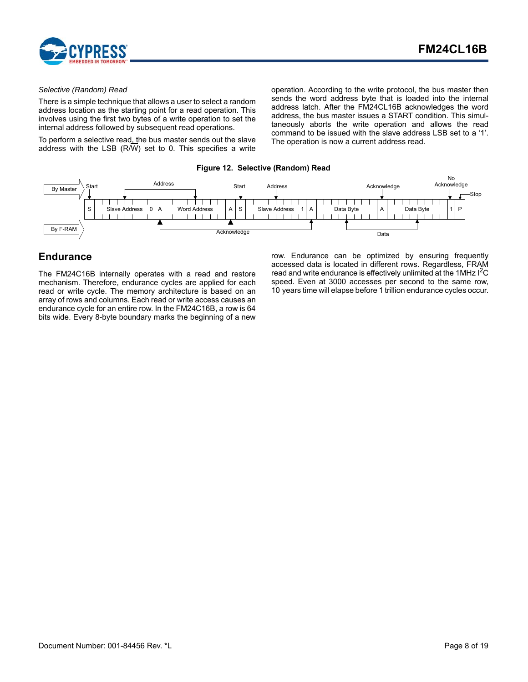

#### *Selective (Random) Read*

There is a simple technique that allows a user to select a random address location as the starting point for a read operation. This involves using the first two bytes of a write operation to set the internal address followed by subsequent read operations.

To perform a selective read, the bus master sends out the slave address with the LSB (R/W) set to 0. This specifies a write operation. According to the write protocol, the bus master then sends the word address byte that is loaded into the internal address latch. After the FM24CL16B acknowledges the word address, the bus master issues a START condition. This simultaneously aborts the write operation and allows the read command to be issued with the slave address LSB set to a '1'. The operation is now a current address read.

#### **Figure 12. Selective (Random) Read**



#### <span id="page-7-0"></span>**Endurance**

The FM24C16B internally operates with a read and restore mechanism. Therefore, endurance cycles are applied for each read or write cycle. The memory architecture is based on an array of rows and columns. Each read or write access causes an endurance cycle for an entire row. In the FM24C16B, a row is 64 bits wide. Every 8-byte boundary marks the beginning of a new row. Endurance can be optimized by ensuring frequently accessed data is located in different rows. Regardless, FRAM read and write endurance is effectively unlimited at the 1MHz  $I<sup>2</sup>C$ speed. Even at 3000 accesses per second to the same row, 10 years time will elapse before 1 trillion endurance cycles occur.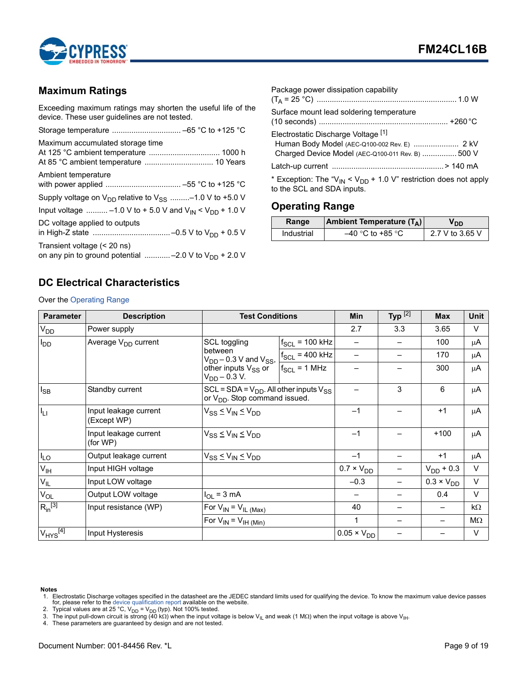

# <span id="page-8-0"></span>**Maximum Ratings**

Exceeding maximum ratings may shorten the useful life of the device. These user guidelines are not tested.

| Maximum accumulated storage time                                                          |
|-------------------------------------------------------------------------------------------|
| Ambient temperature                                                                       |
| Supply voltage on $V_{DD}$ relative to $V_{SS}$ -1.0 V to +5.0 V                          |
| Input voltage  -1.0 V to + 5.0 V and $V_{IN}$ < $V_{DD}$ + 1.0 V                          |
| DC voltage applied to outputs                                                             |
| Transient voltage (< 20 ns)<br>on any pin to ground potential  -2.0 V to $V_{DD}$ + 2.0 V |

| Package power dissipation capability                                                                                                     |  |
|------------------------------------------------------------------------------------------------------------------------------------------|--|
| Surface mount lead soldering temperature                                                                                                 |  |
| Electrostatic Discharge Voltage [1]<br>Human Body Model (AEC-Q100-002 Rev. E)  2 kV<br>Charged Device Model (AEC-Q100-011 Rev. B)  500 V |  |
|                                                                                                                                          |  |
| * Exception: The " $V_{IN}$ < $V_{DD}$ + 1.0 V" restriction does not apply<br>to the SCL and SDA inputs.                                 |  |

# <span id="page-8-1"></span>**Operating Range**

| Range      | <b>Ambient Temperature (TA)</b> | ∨nd             |
|------------|---------------------------------|-----------------|
| Industrial | $-40$ °C to +85 °C              | 2.7 V to 3.65 V |

# <span id="page-8-2"></span>**DC Electrical Characteristics**

Over the [Operating Range](#page-8-1)

| <b>Parameter</b>   | <b>Description</b>                                                       | <b>Test Conditions</b>                                                                 |                     | <b>Min</b>           | Typ $^{[2]}$ | <b>Max</b>          | <b>Unit</b> |
|--------------------|--------------------------------------------------------------------------|----------------------------------------------------------------------------------------|---------------------|----------------------|--------------|---------------------|-------------|
| V <sub>DD</sub>    | Power supply                                                             |                                                                                        |                     | 2.7                  | 3.3          | 3.65                | $\vee$      |
| $I_{DD}$           | Average V <sub>DD</sub> current                                          | SCL toggling                                                                           | $f_{SCL}$ = 100 kHz |                      |              | 100                 | μA          |
|                    |                                                                          | between<br>$V_{DD}$ – 0.3 V and $V_{SS}$ ,                                             | $f_{SCL}$ = 400 kHz |                      |              | 170                 | μA          |
|                    |                                                                          | other inputs $V_{SS}$ or<br>$V_{DD}$ – 0.3 V.                                          | $f_{SCL}$ = 1 MHz   |                      |              | 300                 | μA          |
| $I_{SB}$           | Standby current                                                          | SCL = SDA = $V_{DD}$ . All other inputs $V_{SS}$<br>or $V_{DD}$ . Stop command issued. |                     |                      | 3            | 6                   | μA          |
| $I_{LI}$           | Input leakage current<br>$V_{SS} \leq V_{IN} \leq V_{DD}$<br>(Except WP) |                                                                                        |                     | $-1$                 |              | $+1$                | μA          |
|                    | Input leakage current<br>$V_{SS} \leq V_{IN} \leq V_{DD}$<br>(for WP)    |                                                                                        |                     | $-1$                 |              | $+100$              | μA          |
| $I_{LO}$           | Output leakage current                                                   | $V_{SS} \leq V_{IN} \leq V_{DD}$                                                       |                     | $-1$                 |              | $+1$                | μA          |
| $V_{\text{IH}}$    | Input HIGH voltage                                                       |                                                                                        |                     | $0.7 \times V_{DD}$  |              | $V_{DD}$ + 0.3      | $\vee$      |
| $V_{IL}$           | Input LOW voltage                                                        |                                                                                        |                     | $-0.3$               |              | $0.3 \times V_{DD}$ | $\vee$      |
| $V_{OL}$           | Output LOW voltage                                                       | $I_{OL}$ = 3 mA                                                                        |                     |                      |              | 0.4                 | $\vee$      |
| $R_{\rm in}^{[3]}$ | Input resistance (WP)                                                    | For $V_{IN} = V_{IL (Max)}$                                                            |                     | 40                   |              |                     | $k\Omega$   |
|                    |                                                                          | For $V_{IN} = V_{IH (Min)}$                                                            |                     | 1                    |              | —                   | $M\Omega$   |
| $ V_{HYS}^{[4]} $  | Input Hysteresis                                                         |                                                                                        |                     | $0.05 \times V_{DD}$ |              |                     | $\vee$      |

#### **Notes**

<span id="page-8-3"></span>

<span id="page-8-5"></span>4. These parameters are guaranteed by design and are not tested.

<span id="page-8-6"></span><sup>1.</sup> Electrostatic Discharge voltages specified in the datasheet are the JEDEC standard limits used for qualifying the device. To know the maximum value device passes<br>for, please refer to the [device qualification report](http://www.cypress.com/documentation/qualification-reports/qtp-130104-aec-q100-grade-3-qual-report-b-w-serial-f-ram-family) avai

<span id="page-8-4"></span><sup>2.</sup> Typical values are at 25 °C, V<sub>DD</sub> = V<sub>DD</sub> (typ). Not 100% tested.<br>3. The input pull-down circuit is strong (40 kΩ) when the input voltage is below V<sub>IL</sub> and weak (1 MΩ) when the input voltage is above V<sub>IH</sub>.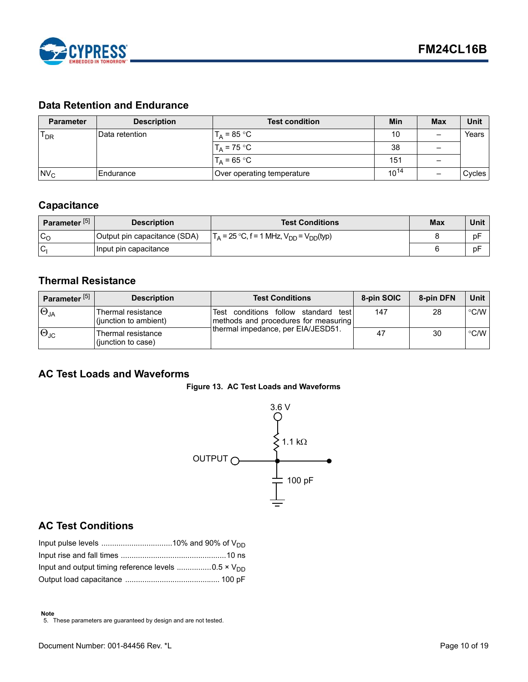

# <span id="page-9-0"></span>**Data Retention and Endurance**

| <b>Parameter</b> | <b>Description</b> | <b>Test condition</b>      | <b>Min</b> | <b>Max</b> | <b>Unit</b> |
|------------------|--------------------|----------------------------|------------|------------|-------------|
| $T_{DR}$         | IData retention    | $T_A$ = 85 °C              | 10         | -          | Years       |
|                  |                    | $IT_A = 75 °C$             | 38         |            |             |
|                  |                    | $T_A = 65 °C$              | 151        |            |             |
| $N_{\rm C}$      | <b>IEndurance</b>  | Over operating temperature | $10^{14}$  |            | Cycles      |

# <span id="page-9-1"></span>**Capacitance**

| Parameter <sup>[5]</sup> | <b>Test Conditions</b><br><b>Description</b> |                                                   | Max | Unit |
|--------------------------|----------------------------------------------|---------------------------------------------------|-----|------|
| $c_{\rm o}$              | Output pin capacitance (SDA)                 | $T_A = 25 °C$ , f = 1 MHz, $V_{DD} = V_{DD}(typ)$ |     | pF   |
| <b>C</b>                 | Input pin capacitance                        |                                                   |     | pF   |

# <span id="page-9-2"></span>**Thermal Resistance**

| Parameter <sup>[5]</sup> | <b>Description</b>                          | <b>Test Conditions</b>                                                           | 8-pin SOIC | 8-pin DFN | Unit i        |
|--------------------------|---------------------------------------------|----------------------------------------------------------------------------------|------------|-----------|---------------|
| $\Theta_{JA}$            | Thermal resistance<br>(junction to ambient) | Test conditions follow standard<br>testl<br>methods and procedures for measuring | 147        | 28        | $\degree$ C/W |
| $ \Theta_{\text{JC}} $   | Thermal resistance<br>(junction to case)    | thermal impedance, per EIA/JESD51.                                               | 47         | 30        | $\degree$ C/W |

# <span id="page-9-6"></span><span id="page-9-3"></span>**AC Test Loads and Waveforms**





# <span id="page-9-4"></span>**AC Test Conditions**

<span id="page-9-5"></span><sup>5.</sup> These parameters are guaranteed by design and are not tested.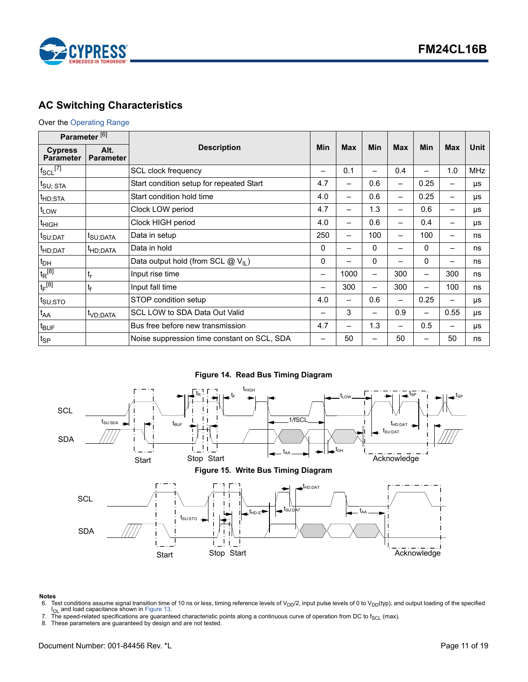

# <span id="page-10-0"></span>**AC Switching Characteristics**

#### Over the [Operating Range](#page-8-1)

| Parameter <sup>[6]</sup>           |                          |                                               |     |            |                          |                          |                          |                          |             |
|------------------------------------|--------------------------|-----------------------------------------------|-----|------------|--------------------------|--------------------------|--------------------------|--------------------------|-------------|
| <b>Cypress</b><br><b>Parameter</b> | Alt.<br><b>Parameter</b> | <b>Min</b><br><b>Description</b>              |     | <b>Max</b> | Min                      | <b>Max</b>               | Min                      | <b>Max</b>               | <b>Unit</b> |
| $f_{\text{SCL}}^{[7]}$             |                          | SCL clock frequency                           |     | 0.1        | $\overline{\phantom{0}}$ | 0.4                      |                          | 1.0                      | <b>MHz</b>  |
| $t_{\mathsf{SU};\,\mathsf{STA}}$   |                          | Start condition setup for repeated Start      | 4.7 | —          | 0.6                      | —                        | 0.25                     |                          | μs          |
| <sup>t</sup> HD;STA                |                          | Start condition hold time                     | 4.0 | —          | 0.6                      | $\overline{\phantom{0}}$ | 0.25                     | $\overline{\phantom{0}}$ | μs          |
| t <sub>LOW</sub>                   |                          | Clock LOW period                              | 4.7 | -          | 1.3                      | —                        | 0.6                      | ۳                        | $\mu s$     |
| <sup>t</sup> HIGH                  |                          | Clock HIGH period                             | 4.0 | —          | 0.6                      | —                        | 0.4                      | -                        | μs          |
| t <sub>SU;DAT</sub>                | t <sub>SU;DATA</sub>     | Data in setup                                 | 250 | —          | 100                      | -                        | 100                      |                          | ns          |
| <sup>t</sup> HD;DAT                | <sup>I</sup> HD;DATA     | Data in hold                                  | 0   | —          | 0                        | —                        | 0                        | -                        | ns          |
| $t_{DH}$                           |                          | Data output hold (from SCL $@V_{\text{II}}$ ) | 0   |            | 0                        |                          | 0                        |                          | ns          |
| $t_R^{[8]}$                        | $t_{r}$                  | Input rise time                               | -   | 1000       |                          | 300                      | $\overline{\phantom{0}}$ | 300                      | ns          |
| $t_F^{[8]}$                        | $t_{\rm f}$              | Input fall time                               |     | 300        | $\overline{\phantom{0}}$ | 300                      | —                        | 100                      | ns          |
| t <sub>SU;STO</sub>                |                          | STOP condition setup                          | 4.0 | —          | 0.6                      | -                        | 0.25                     | $\overline{\phantom{0}}$ | μs          |
| $t_{AA}$                           | <sup>t</sup> VD;DATA     | SCL LOW to SDA Data Out Valid                 |     | 3          | $\overline{\phantom{0}}$ | 0.9                      | —                        | 0.55                     | μs          |
| t <sub>BUF</sub>                   |                          | Bus free before new transmission              | 4.7 | —          | 1.3                      | —                        | 0.5                      |                          | μs          |
| $t_{SP}$                           |                          | Noise suppression time constant on SCL, SDA   |     | 50         |                          | 50                       |                          | 50                       | ns          |

**Figure 14. Read Bus Timing Diagram**





#### **Notes**

- <span id="page-10-1"></span>6. Test conditions assume signal transition time of 10 ns or less, timing reference levels of V<sub>DD</sub>/2, input pulse levels of 0 to V<sub>DD</sub>(typ), and output loading of the specified l<sub>OL</sub> and load capacitance shown in Figure
- <span id="page-10-2"></span>7. The speed-related specifications are guaranteed characteristic points along a continuous curve of operation from DC to f<sub>SCL</sub> (max).<br>8. These parameters are guaranteed by design and are not tested.
- <span id="page-10-3"></span>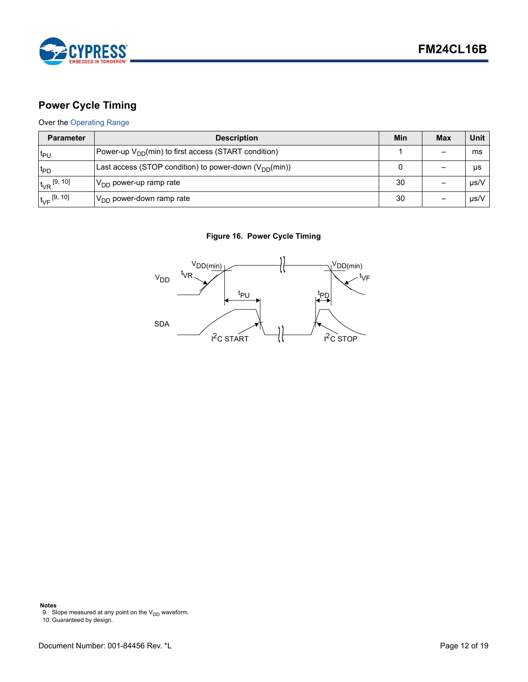

# <span id="page-11-0"></span>**Power Cycle Timing**

## Over the [Operating Range](#page-8-1)

| <b>Parameter</b> | <b>Description</b>                                         | Min | <b>Max</b> | Unit      |
|------------------|------------------------------------------------------------|-----|------------|-----------|
| t <sub>PU</sub>  | Power-up $V_{DD}(min)$ to first access (START condition)   |     |            | ms        |
| t <sub>PD</sub>  | Last access (STOP condition) to power-down $(V_{DD}(min))$ |     |            | μs        |
| $t_{VR}$ [9, 10] | IV <sub>DD</sub> power-up ramp rate                        | 30  |            | µs/V      |
| $t_{VF}$ [9, 10] | $V_{DD}$ power-down ramp rate                              | 30  |            | $\mu$ s/V |

#### **Figure 16. Power Cycle Timing**



<span id="page-11-2"></span>**Notes**<br>9. Slope measured at any point on the V<sub>DD</sub> waveform.<br>10. Guaranteed by design.

<span id="page-11-1"></span>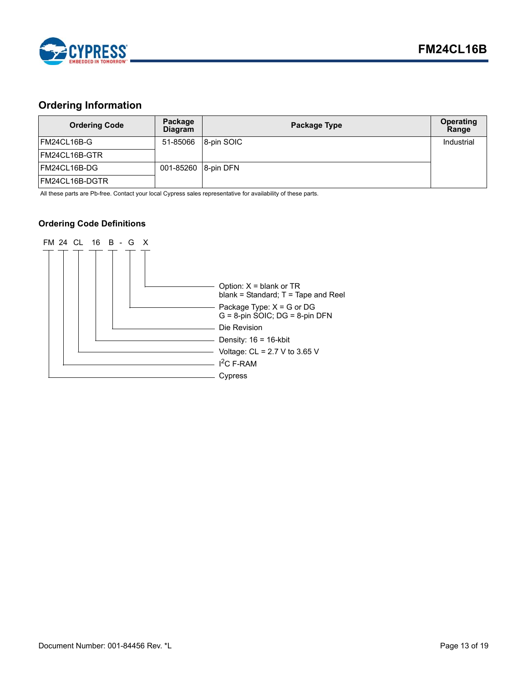

# <span id="page-12-0"></span>**Ordering Information**

| <b>Ordering Code</b> | Package<br><b>Diagram</b> | Package Type | <b>Operating</b><br>Range |
|----------------------|---------------------------|--------------|---------------------------|
| IFM24CL16B-G         | 51-85066                  | 8-pin SOIC   | Industrial                |
| IFM24CL16B-GTR       |                           |              |                           |
| IFM24CL16B-DG        | 001-85260 8-pin DFN       |              |                           |
| IFM24CL16B-DGTR      |                           |              |                           |

All these parts are Pb-free. Contact your local Cypress sales representative for availability of these parts.

#### <span id="page-12-1"></span>**Ordering Code Definitions**

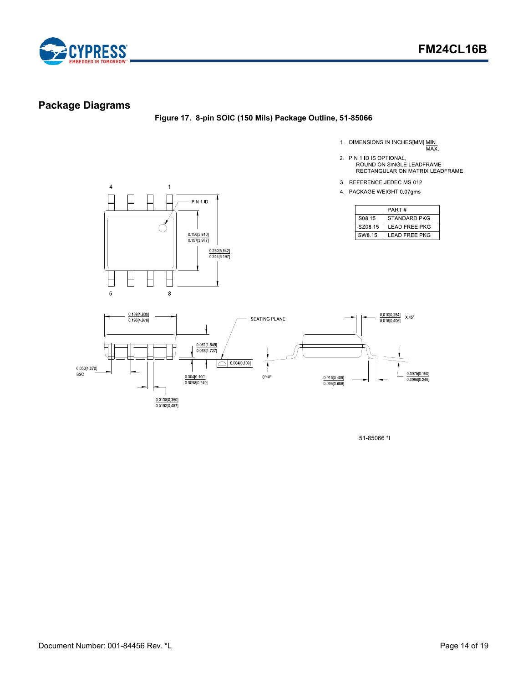

# <span id="page-13-0"></span>**Package Diagrams**

**Figure 17. 8-pin SOIC (150 Mils) Package Outline, 51-85066**

- 1. DIMENSIONS IN INCHES[MM] MIN.<br>MAX.
- 
- 2. PIN 1 ID IS OPTIONAL,<br>ROUND ON SINGLE LEADFRAME RECTANGULAR ON MATRIX LEADFRAME
- 3. REFERENCE JEDEC MS-012
- 4 PACKAGE WEIGHT 0 07gms

| PART#              |                     |  |  |  |
|--------------------|---------------------|--|--|--|
| S <sub>08</sub> 15 | <b>STANDARD PKG</b> |  |  |  |
| SZ08.15            | I FAD FRFF PKG      |  |  |  |
| SW8.15             | I FAD FRFF PKG      |  |  |  |





51-85066 \*I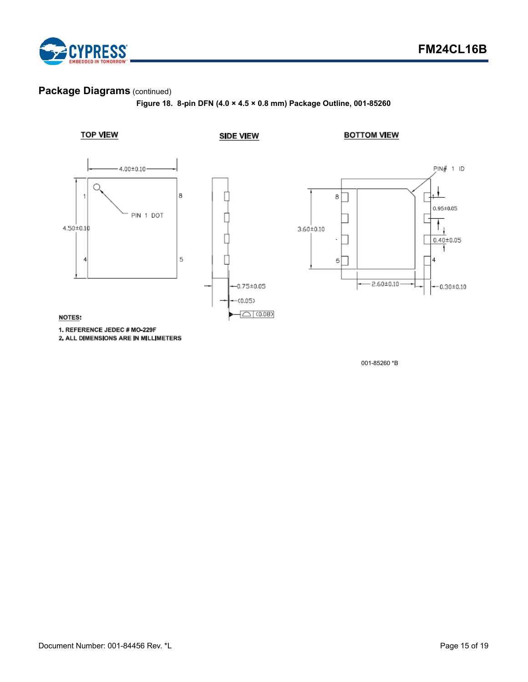

# **Package Diagrams** (continued)

**Figure 18. 8-pin DFN (4.0 × 4.5 × 0.8 mm) Package Outline, 001-85260**



001-85260 \*B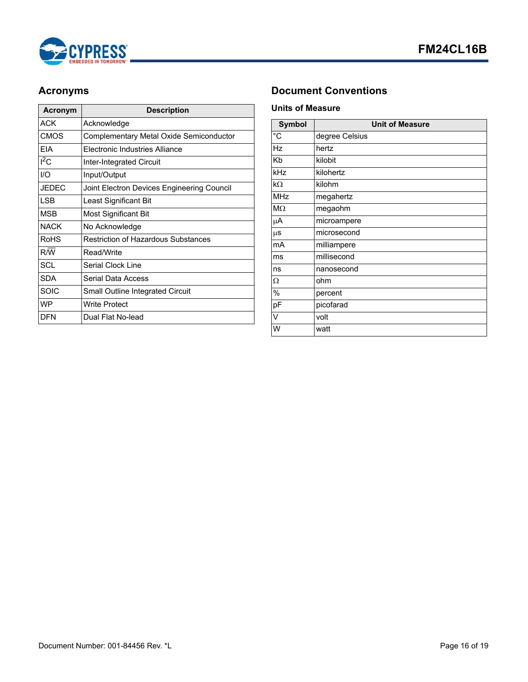

| Acronym      | <b>Description</b>                         |  |
|--------------|--------------------------------------------|--|
| <b>ACK</b>   | Acknowledge                                |  |
| <b>CMOS</b>  | Complementary Metal Oxide Semiconductor    |  |
| FIA          | Electronic Industries Alliance             |  |
| $I^2C$       | Inter-Integrated Circuit                   |  |
| I/O          | Input/Output                               |  |
| <b>JEDEC</b> | Joint Electron Devices Engineering Council |  |
| <b>LSB</b>   | Least Significant Bit                      |  |
| <b>MSB</b>   | Most Significant Bit                       |  |
| <b>NACK</b>  | No Acknowledge                             |  |
| <b>RoHS</b>  | <b>Restriction of Hazardous Substances</b> |  |
| R/W          | Read/Write                                 |  |
| <b>SCL</b>   | Serial Clock Line                          |  |
| <b>SDA</b>   | Serial Data Access                         |  |
| <b>SOIC</b>  | Small Outline Integrated Circuit           |  |
| <b>WP</b>    | <b>Write Protect</b>                       |  |
| <b>DFN</b>   | Dual Flat No-lead                          |  |

# <span id="page-15-0"></span>**Acronyms Document Conventions**

#### <span id="page-15-2"></span><span id="page-15-1"></span>**Units of Measure**

| <b>Symbol</b>  | <b>Unit of Measure</b> |  |  |  |
|----------------|------------------------|--|--|--|
| $\overline{C}$ | degree Celsius         |  |  |  |
| Hz             | hertz                  |  |  |  |
| Kb             | kilobit                |  |  |  |
| kHz            | kilohertz              |  |  |  |
| $k\Omega$      | kilohm                 |  |  |  |
| <b>MHz</b>     | megahertz              |  |  |  |
| $M\Omega$      | megaohm                |  |  |  |
| μA             | microampere            |  |  |  |
| $\mu$ s        | microsecond            |  |  |  |
| mA             | milliampere            |  |  |  |
| ms             | millisecond            |  |  |  |
| ns             | nanosecond             |  |  |  |
| Ω              | ohm                    |  |  |  |
| %              | percent                |  |  |  |
| pF             | picofarad              |  |  |  |
| V              | volt                   |  |  |  |
| W              | watt                   |  |  |  |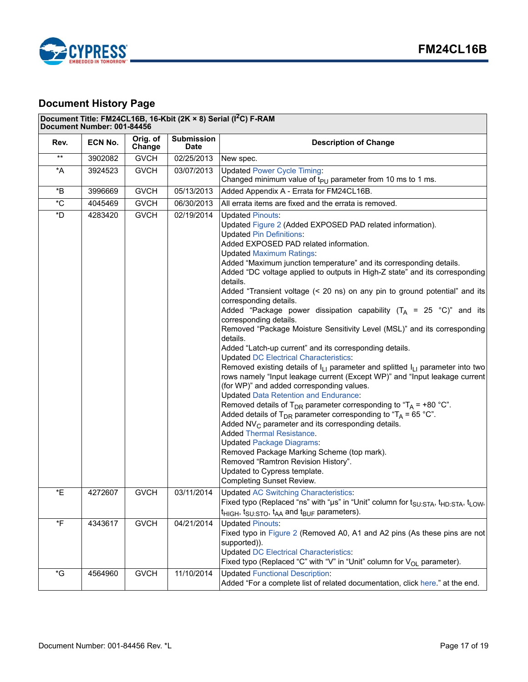

# <span id="page-16-0"></span>**Document History Page**

| Document Title: FM24CL16B, 16-Kbit (2K × 8) Serial (I <sup>2</sup> C) F-RAM |
|-----------------------------------------------------------------------------|
|                                                                             |

| Document Number: 001-84456 |         |                    |                                  |                                                                                                                                                                                                                                                                                                                                                                                                                                                                                                                                                                                                                                                                                                                                                                                                                                                                                                                                                                                                                                                                                                                                                                                                                                                                                                                                                                                                                                                                                                                                                   |
|----------------------------|---------|--------------------|----------------------------------|---------------------------------------------------------------------------------------------------------------------------------------------------------------------------------------------------------------------------------------------------------------------------------------------------------------------------------------------------------------------------------------------------------------------------------------------------------------------------------------------------------------------------------------------------------------------------------------------------------------------------------------------------------------------------------------------------------------------------------------------------------------------------------------------------------------------------------------------------------------------------------------------------------------------------------------------------------------------------------------------------------------------------------------------------------------------------------------------------------------------------------------------------------------------------------------------------------------------------------------------------------------------------------------------------------------------------------------------------------------------------------------------------------------------------------------------------------------------------------------------------------------------------------------------------|
| Rev.                       | ECN No. | Orig. of<br>Change | <b>Submission</b><br><b>Date</b> | <b>Description of Change</b>                                                                                                                                                                                                                                                                                                                                                                                                                                                                                                                                                                                                                                                                                                                                                                                                                                                                                                                                                                                                                                                                                                                                                                                                                                                                                                                                                                                                                                                                                                                      |
| $**$                       | 3902082 | <b>GVCH</b>        | 02/25/2013                       | New spec.                                                                                                                                                                                                                                                                                                                                                                                                                                                                                                                                                                                                                                                                                                                                                                                                                                                                                                                                                                                                                                                                                                                                                                                                                                                                                                                                                                                                                                                                                                                                         |
| *A                         | 3924523 | <b>GVCH</b>        | 03/07/2013                       | <b>Updated Power Cycle Timing:</b><br>Changed minimum value of $t_{PU}$ parameter from 10 ms to 1 ms.                                                                                                                                                                                                                                                                                                                                                                                                                                                                                                                                                                                                                                                                                                                                                                                                                                                                                                                                                                                                                                                                                                                                                                                                                                                                                                                                                                                                                                             |
| *B                         | 3996669 | <b>GVCH</b>        | 05/13/2013                       | Added Appendix A - Errata for FM24CL16B.                                                                                                                                                                                                                                                                                                                                                                                                                                                                                                                                                                                                                                                                                                                                                                                                                                                                                                                                                                                                                                                                                                                                                                                                                                                                                                                                                                                                                                                                                                          |
| $^\ast\mathrm{C}$          | 4045469 | <b>GVCH</b>        | 06/30/2013                       | All errata items are fixed and the errata is removed.                                                                                                                                                                                                                                                                                                                                                                                                                                                                                                                                                                                                                                                                                                                                                                                                                                                                                                                                                                                                                                                                                                                                                                                                                                                                                                                                                                                                                                                                                             |
| *D                         | 4283420 | <b>GVCH</b>        | 02/19/2014                       | <b>Updated Pinouts:</b><br>Updated Figure 2 (Added EXPOSED PAD related information).<br><b>Updated Pin Definitions:</b><br>Added EXPOSED PAD related information.<br><b>Updated Maximum Ratings:</b><br>Added "Maximum junction temperature" and its corresponding details.<br>Added "DC voltage applied to outputs in High-Z state" and its corresponding<br>details.<br>Added "Transient voltage (< 20 ns) on any pin to ground potential" and its<br>corresponding details.<br>Added "Package power dissipation capability $(T_A = 25 \degree C)$ " and its<br>corresponding details.<br>Removed "Package Moisture Sensitivity Level (MSL)" and its corresponding<br>details.<br>Added "Latch-up current" and its corresponding details.<br><b>Updated DC Electrical Characteristics:</b><br>Removed existing details of $I_{L1}$ parameter and splitted $I_{L1}$ parameter into two<br>rows namely "Input leakage current (Except WP)" and "Input leakage current<br>(for WP)" and added corresponding values.<br><b>Updated Data Retention and Endurance:</b><br>Removed details of T <sub>DR</sub> parameter corresponding to "T <sub>A</sub> = +80 °C".<br>Added details of T <sub>DR</sub> parameter corresponding to "T <sub>A</sub> = 65 °C".<br>Added $NV_C$ parameter and its corresponding details.<br><b>Added Thermal Resistance.</b><br><b>Updated Package Diagrams:</b><br>Removed Package Marking Scheme (top mark).<br>Removed "Ramtron Revision History".<br>Updated to Cypress template.<br><b>Completing Sunset Review.</b> |
| *E                         | 4272607 | <b>GVCH</b>        | 03/11/2014                       | <b>Updated AC Switching Characteristics:</b><br>Fixed typo (Replaced "ns" with "µs" in "Unit" column for t <sub>SU:STA</sub> , t <sub>HD:STA</sub> , t <sub>LOW</sub> ,<br>t <sub>HIGH</sub> , t <sub>SU:STO</sub> , t <sub>AA</sub> and t <sub>BUF</sub> parameters).                                                                                                                                                                                                                                                                                                                                                                                                                                                                                                                                                                                                                                                                                                                                                                                                                                                                                                                                                                                                                                                                                                                                                                                                                                                                            |
| $\,{}^{\star}\mathsf{F}$   | 4343617 | <b>GVCH</b>        | 04/21/2014                       | <b>Updated Pinouts:</b><br>Fixed typo in Figure 2 (Removed A0, A1 and A2 pins (As these pins are not<br>supported)).<br><b>Updated DC Electrical Characteristics:</b><br>Fixed typo (Replaced "C" with "V" in "Unit" column for $V_{\text{OL}}$ parameter).                                                                                                                                                                                                                                                                                                                                                                                                                                                                                                                                                                                                                                                                                                                                                                                                                                                                                                                                                                                                                                                                                                                                                                                                                                                                                       |
| $\,{}^{\star}{\rm G}$      | 4564960 | <b>GVCH</b>        | 11/10/2014                       | <b>Updated Functional Description:</b><br>Added "For a complete list of related documentation, click here." at the end.                                                                                                                                                                                                                                                                                                                                                                                                                                                                                                                                                                                                                                                                                                                                                                                                                                                                                                                                                                                                                                                                                                                                                                                                                                                                                                                                                                                                                           |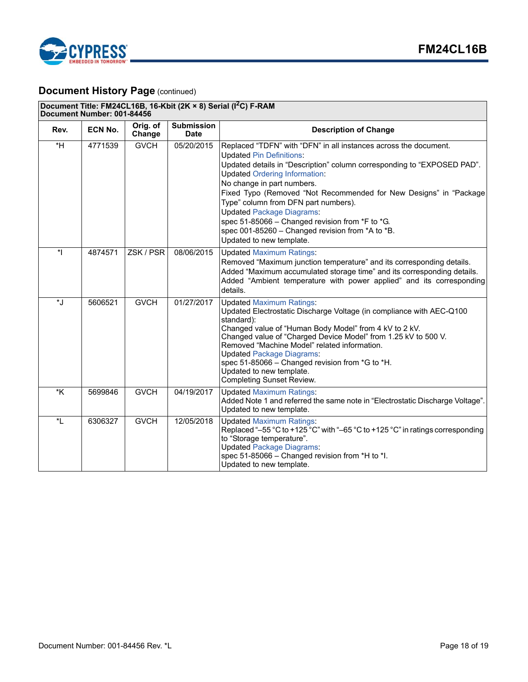

# **Document History Page (continued)**

| Document Title: FM24CL16B, 16-Kbit (2K × 8) Serial (I <sup>2</sup> C) F-RAM<br>Document Number: 001-84456 |                |                    |                                  |                                                                                                                                                                                                                                                                                                                                                                                                                                                                                                                                          |
|-----------------------------------------------------------------------------------------------------------|----------------|--------------------|----------------------------------|------------------------------------------------------------------------------------------------------------------------------------------------------------------------------------------------------------------------------------------------------------------------------------------------------------------------------------------------------------------------------------------------------------------------------------------------------------------------------------------------------------------------------------------|
| Rev.                                                                                                      | <b>ECN No.</b> | Orig. of<br>Change | <b>Submission</b><br><b>Date</b> | <b>Description of Change</b>                                                                                                                                                                                                                                                                                                                                                                                                                                                                                                             |
| $*H$                                                                                                      | 4771539        | <b>GVCH</b>        | 05/20/2015                       | Replaced "TDFN" with "DFN" in all instances across the document.<br><b>Updated Pin Definitions:</b><br>Updated details in "Description" column corresponding to "EXPOSED PAD".<br><b>Updated Ordering Information:</b><br>No change in part numbers.<br>Fixed Typo (Removed "Not Recommended for New Designs" in "Package<br>Type" column from DFN part numbers).<br><b>Updated Package Diagrams:</b><br>spec 51-85066 - Changed revision from *F to *G.<br>spec 001-85260 - Changed revision from *A to *B.<br>Updated to new template. |
| $\star$                                                                                                   | 4874571        | ZSK / PSR          | 08/06/2015                       | <b>Updated Maximum Ratings:</b><br>Removed "Maximum junction temperature" and its corresponding details.<br>Added "Maximum accumulated storage time" and its corresponding details.<br>Added "Ambient temperature with power applied" and its corresponding<br>details.                                                                                                                                                                                                                                                                  |
| *J                                                                                                        | 5606521        | <b>GVCH</b>        | 01/27/2017                       | <b>Updated Maximum Ratings:</b><br>Updated Electrostatic Discharge Voltage (in compliance with AEC-Q100<br>standard):<br>Changed value of "Human Body Model" from 4 kV to 2 kV.<br>Changed value of "Charged Device Model" from 1.25 kV to 500 V.<br>Removed "Machine Model" related information.<br><b>Updated Package Diagrams:</b><br>spec 51-85066 - Changed revision from *G to *H.<br>Updated to new template.<br><b>Completing Sunset Review.</b>                                                                                 |
| $\overline{\mathsf{K}}$                                                                                   | 5699846        | <b>GVCH</b>        | 04/19/2017                       | <b>Updated Maximum Ratings:</b><br>Added Note 1 and referred the same note in "Electrostatic Discharge Voltage".<br>Updated to new template.                                                                                                                                                                                                                                                                                                                                                                                             |
| $L^*$                                                                                                     | 6306327        | <b>GVCH</b>        | 12/05/2018                       | <b>Updated Maximum Ratings:</b><br>Replaced "-55 °C to +125 °C" with "-65 °C to +125 °C" in ratings corresponding<br>to "Storage temperature".<br><b>Updated Package Diagrams:</b><br>spec 51-85066 - Changed revision from *H to *I.<br>Updated to new template.                                                                                                                                                                                                                                                                        |